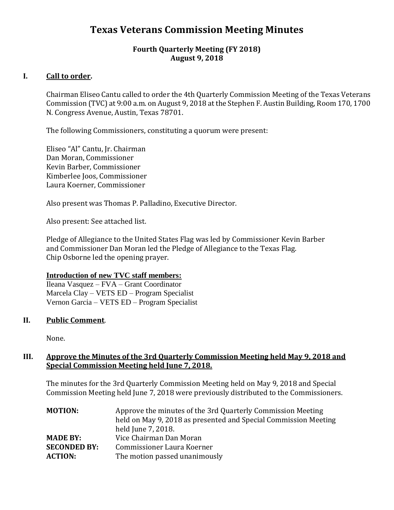# **Texas Veterans Commission Meeting Minutes**

## **Fourth Quarterly Meeting (FY 2018) August 9, 2018**

# **I. Call to order.**

Chairman Eliseo Cantu called to order the 4th Quarterly Commission Meeting of the Texas Veterans Commission (TVC) at 9:00 a.m. on August 9, 2018 at the Stephen F. Austin Building, Room 170, 1700 N. Congress Avenue, Austin, Texas 78701.

The following Commissioners, constituting a quorum were present:

Eliseo "Al" Cantu, Jr. Chairman Dan Moran, Commissioner Kevin Barber, Commissioner Kimberlee Joos, Commissioner Laura Koerner, Commissioner

Also present was Thomas P. Palladino, Executive Director.

Also present: See attached list.

Pledge of Allegiance to the United States Flag was led by Commissioner Kevin Barber and Commissioner Dan Moran led the Pledge of Allegiance to the Texas Flag. Chip Osborne led the opening prayer.

#### **Introduction of new TVC staff members:**

Ileana Vasquez – FVA – Grant Coordinator Marcela Clay – VETS ED – Program Specialist Vernon Garcia – VETS ED – Program Specialist

## **II. Public Comment**.

None.

## **III. Approve the Minutes of the 3rd Quarterly Commission Meeting held May 9, 2018 and Special Commission Meeting held June 7, 2018.**

The minutes for the 3rd Quarterly Commission Meeting held on May 9, 2018 and Special Commission Meeting held June 7, 2018 were previously distributed to the Commissioners.

| <b>MOTION:</b>      | Approve the minutes of the 3rd Quarterly Commission Meeting     |
|---------------------|-----------------------------------------------------------------|
|                     | held on May 9, 2018 as presented and Special Commission Meeting |
|                     | held June 7, 2018.                                              |
| <b>MADE BY:</b>     | Vice Chairman Dan Moran                                         |
| <b>SECONDED BY:</b> | Commissioner Laura Koerner                                      |
| <b>ACTION:</b>      | The motion passed unanimously                                   |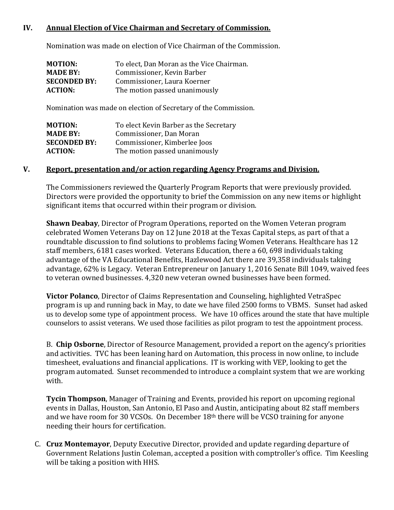# **IV. Annual Election of Vice Chairman and Secretary of Commission.**

Nomination was made on election of Vice Chairman of the Commission.

| <b>MOTION:</b>      | To elect, Dan Moran as the Vice Chairman. |
|---------------------|-------------------------------------------|
| <b>MADE BY:</b>     | Commissioner, Kevin Barber                |
| <b>SECONDED BY:</b> | Commissioner, Laura Koerner               |
| <b>ACTION:</b>      | The motion passed unanimously             |

Nomination was made on election of Secretary of the Commission.

| <b>MOTION:</b>      | To elect Kevin Barber as the Secretary |
|---------------------|----------------------------------------|
| <b>MADE BY:</b>     | Commissioner, Dan Moran                |
| <b>SECONDED BY:</b> | Commissioner, Kimberlee Joos           |
| <b>ACTION:</b>      | The motion passed unanimously          |

#### **V. Report, presentation and/or action regarding Agency Programs and Division.**

The Commissioners reviewed the Quarterly Program Reports that were previously provided. Directors were provided the opportunity to brief the Commission on any new items or highlight significant items that occurred within their program or division.

**Shawn Deabay**, Director of Program Operations, reported on the Women Veteran program celebrated Women Veterans Day on 12 June 2018 at the Texas Capital steps, as part of that a roundtable discussion to find solutions to problems facing Women Veterans. Healthcare has 12 staff members, 6181 cases worked. Veterans Education, there a 60, 698 individuals taking advantage of the VA Educational Benefits, Hazlewood Act there are 39,358 individuals taking advantage, 62% is Legacy. Veteran Entrepreneur on January 1, 2016 Senate Bill 1049, waived fees to veteran owned businesses. 4,320 new veteran owned businesses have been formed.

**Victor Polanco**, Director of Claims Representation and Counseling, highlighted VetraSpec program is up and running back in May, to date we have filed 2500 forms to VBMS. Sunset had asked us to develop some type of appointment process. We have 10 offices around the state that have multiple counselors to assist veterans. We used those facilities as pilot program to test the appointment process.

B. **Chip Osborne**, Director of Resource Management, provided a report on the agency's priorities and activities. TVC has been leaning hard on Automation, this process in now online, to include timesheet, evaluations and financial applications. IT is working with VEP, looking to get the program automated. Sunset recommended to introduce a complaint system that we are working with.

**Tycin Thompson**, Manager of Training and Events, provided his report on upcoming regional events in Dallas, Houston, San Antonio, El Paso and Austin, anticipating about 82 staff members and we have room for 30 VCSOs. On December 18th there will be VCSO training for anyone needing their hours for certification.

C. **Cruz Montemayor**, Deputy Executive Director, provided and update regarding departure of Government Relations Justin Coleman, accepted a position with comptroller's office. Tim Keesling will be taking a position with HHS.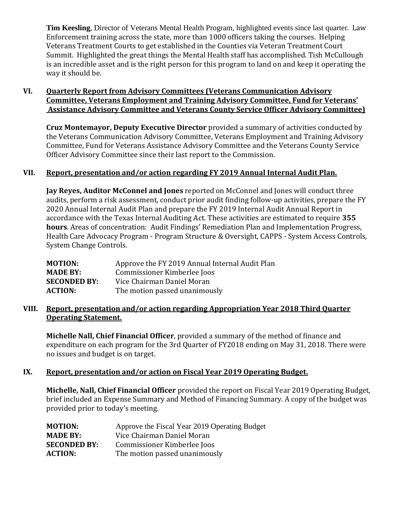**Tim Keesling**, Director of Veterans Mental Health Program, highlighted events since last quarter. Law Enforcement training across the state, more than 1000 officers taking the courses. Helping Veterans Treatment Courts to get established in the Counties via Veteran Treatment Court Summit. Highlighted the great things the Mental Health staff has accomplished. Tish McCullough is an incredible asset and is the right person for this program to land on and keep it operating the way it should be.

# **VI. Quarterly Report from Advisory Committees (Veterans Communication Advisory Committee, Veterans Employment and Training Advisory Committee, Fund for Veterans' Assistance Advisory Committee and Veterans County Service Officer Advisory Committee)**

**Cruz Montemayor, Deputy Executive Director** provided a summary of activities conducted by the Veterans Communication Advisory Committee, Veterans Employment and Training Advisory Committee, Fund for Veterans Assistance Advisory Committee and the Veterans County Service Officer Advisory Committee since their last report to the Commission.

# **VII. Report, presentation and/or action regarding FY 2019 Annual Internal Audit Plan.**

**Jay Reyes, Auditor McConnel and Jones** reported on McConnel and Jones will conduct three audits, perform a risk assessment, conduct prior audit finding follow-up activities, prepare the FY 2020 Annual Internal Audit Plan and prepare the FY 2019 Internal Audit Annual Report in accordance with the Texas Internal Auditing Act. These activities are estimated to require **355 hours**. Areas of concentration: Audit Findings' Remediation Plan and Implementation Progress, Health Care Advocacy Program - Program Structure & Oversight, CAPPS - System Access Controls, System Change Controls.

| MOTION:             | Approve the FY 2019 Annual Internal Audit Plan |
|---------------------|------------------------------------------------|
| <b>MADE BY:</b>     | Commissioner Kimberlee Joos                    |
| <b>SECONDED BY:</b> | Vice Chairman Daniel Moran                     |
| <b>ACTION:</b>      | The motion passed unanimously                  |

## **VIII. Report, presentation and/or action regarding Appropriation Year 2018 Third Quarter Operating Statement.**

**Michelle Nall, Chief Financial Officer**, provided a summary of the method of finance and expenditure on each program for the 3rd Quarter of FY2018 ending on May 31, 2018. There were no issues and budget is on target.

## **IX. Report, presentation and/or action on Fiscal Year 2019 Operating Budget.**

**Michelle, Nall, Chief Financial Officer** provided the report on Fiscal Year 2019 Operating Budget, brief included an Expense Summary and Method of Financing Summary. A copy of the budget was provided prior to today's meeting.

| <b>MOTION:</b>      | Approve the Fiscal Year 2019 Operating Budget |
|---------------------|-----------------------------------------------|
| <b>MADE BY:</b>     | Vice Chairman Daniel Moran                    |
| <b>SECONDED BY:</b> | Commissioner Kimberlee Joos                   |
| <b>ACTION:</b>      | The motion passed unanimously                 |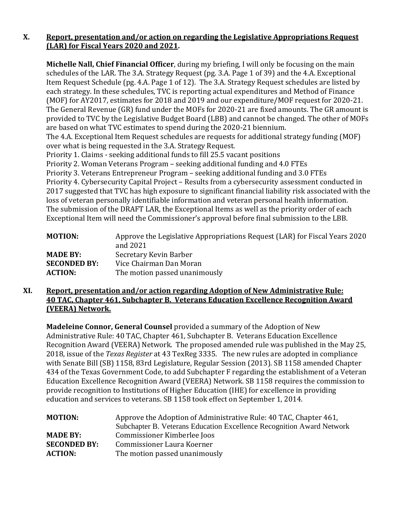# **X. Report, presentation and/or action on regarding the Legislative Appropriations Request (LAR) for Fiscal Years 2020 and 2021.**

**Michelle Nall, Chief Financial Officer**, during my briefing, I will only be focusing on the main schedules of the LAR. The 3.A. Strategy Request (pg. 3.A. Page 1 of 39) and the 4.A. Exceptional Item Request Schedule (pg. 4.A. Page 1 of 12). The 3.A. Strategy Request schedules are listed by each strategy. In these schedules, TVC is reporting actual expenditures and Method of Finance (MOF) for AY2017, estimates for 2018 and 2019 and our expenditure/MOF request for 2020-21. The General Revenue (GR) fund under the MOFs for 2020-21 are fixed amounts. The GR amount is provided to TVC by the Legislative Budget Board (LBB) and cannot be changed. The other of MOFs are based on what TVC estimates to spend during the 2020-21 biennium.

The 4.A. Exceptional Item Request schedules are requests for additional strategy funding (MOF) over what is being requested in the 3.A. Strategy Request.

Priority 1. Claims - seeking additional funds to fill 25.5 vacant positions

Priority 2. Woman Veterans Program – seeking additional funding and 4.0 FTEs

Priority 3. Veterans Entrepreneur Program – seeking additional funding and 3.0 FTEs

Priority 4. Cybersecurity Capital Project – Results from a cybersecurity assessment conducted in 2017 suggested that TVC has high exposure to significant financial liability risk associated with the loss of veteran personally identifiable information and veteran personal health information. The submission of the DRAFT LAR, the Exceptional Items as well as the priority order of each Exceptional Item will need the Commissioner's approval before final submission to the LBB.

| <b>MOTION:</b>      | Approve the Legislative Appropriations Request (LAR) for Fiscal Years 2020<br>and 2021 |
|---------------------|----------------------------------------------------------------------------------------|
| <b>MADE BY:</b>     | Secretary Kevin Barber                                                                 |
| <b>SECONDED BY:</b> | Vice Chairman Dan Moran                                                                |
| <b>ACTION:</b>      | The motion passed unanimously                                                          |

# **XI. Report, presentation and/or action regarding Adoption of New Administrative Rule: 40 TAC, Chapter 461, Subchapter B. Veterans Education Excellence Recognition Award (VEERA) Network.**

**Madeleine Connor, General Counsel** provided a summary of the Adoption of New Administrative Rule: 40 TAC, Chapter 461, Subchapter B. Veterans Education Excellence Recognition Award (VEERA) Network. The proposed amended rule was published in the May 25, 2018, issue of the *Texas Register* at 43 TexReg 3335. The new rules are adopted in compliance with Senate Bill (SB) 1158, 83rd Legislature, Regular Session (2013). SB 1158 amended Chapter 434 of the Texas Government Code, to add Subchapter F regarding the establishment of a Veteran Education Excellence Recognition Award (VEERA) Network. SB 1158 requires the commission to provide recognition to Institutions of Higher Education (IHE) for excellence in providing education and services to veterans. SB 1158 took effect on September 1, 2014.

| <b>MOTION:</b>      | Approve the Adoption of Administrative Rule: 40 TAC, Chapter 461,     |
|---------------------|-----------------------------------------------------------------------|
|                     | Subchapter B. Veterans Education Excellence Recognition Award Network |
| <b>MADE BY:</b>     | Commissioner Kimberlee Joos                                           |
| <b>SECONDED BY:</b> | Commissioner Laura Koerner                                            |
| <b>ACTION:</b>      | The motion passed unanimously                                         |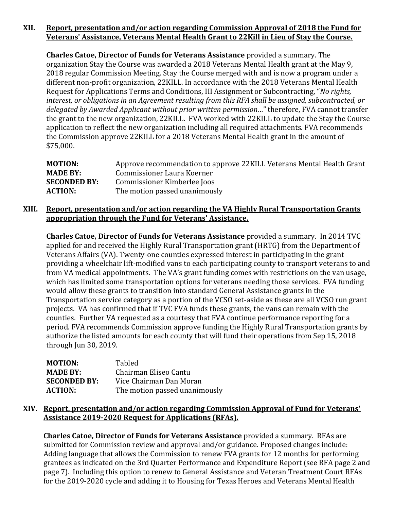# **XII. Report, presentation and/or action regarding Commission Approval of 2018 the Fund for Veterans' Assistance, Veterans Mental Health Grant to 22Kill in Lieu of Stay the Course.**

**Charles Catoe, Director of Funds for Veterans Assistance** provided a summary. The organization Stay the Course was awarded a 2018 Veterans Mental Health grant at the May 9, 2018 regular Commission Meeting. Stay the Course merged with and is now a program under a different non-profit organization, 22KILL. In accordance with the 2018 Veterans Mental Health Request for Applications Terms and Conditions, III Assignment or Subcontracting, "*No rights, interest, or obligations in an Agreement resulting from this RFA shall be assigned, subcontracted, or delegated by Awarded Applicant without prior written permission…*" therefore, FVA cannot transfer the grant to the new organization, 22KILL. FVA worked with 22KILL to update the Stay the Course application to reflect the new organization including all required attachments. FVA recommends the Commission approve 22KILL for a 2018 Veterans Mental Health grant in the amount of \$75,000.

| <b>MOTION:</b>      | Approve recommendation to approve 22 KILL Veterans Mental Health Grant |
|---------------------|------------------------------------------------------------------------|
| <b>MADE BY:</b>     | Commissioner Laura Koerner                                             |
| <b>SECONDED BY:</b> | Commissioner Kimberlee Joos                                            |
| <b>ACTION:</b>      | The motion passed unanimously                                          |

## **XIII. Report, presentation and/or action regarding the VA Highly Rural Transportation Grants appropriation through the Fund for Veterans' Assistance.**

**Charles Catoe, Director of Funds for Veterans Assistance** provided a summary. In 2014 TVC applied for and received the Highly Rural Transportation grant (HRTG) from the Department of Veterans Affairs (VA). Twenty-one counties expressed interest in participating in the grant providing a wheelchair lift-modified vans to each participating county to transport veterans to and from VA medical appointments. The VA's grant funding comes with restrictions on the van usage, which has limited some transportation options for veterans needing those services. FVA funding would allow these grants to transition into standard General Assistance grants in the Transportation service category as a portion of the VCSO set-aside as these are all VCSO run grant projects. VA has confirmed that if TVC FVA funds these grants, the vans can remain with the counties. Further VA requested as a courtesy that FVA continue performance reporting for a period. FVA recommends Commission approve funding the Highly Rural Transportation grants by authorize the listed amounts for each county that will fund their operations from Sep 15, 2018 through Jun 30, 2019.

| MOTION:             | <b>Tabled</b>                 |
|---------------------|-------------------------------|
| <b>MADE BY:</b>     | Chairman Eliseo Cantu         |
| <b>SECONDED BY:</b> | Vice Chairman Dan Moran       |
| <b>ACTION:</b>      | The motion passed unanimously |

# **XIV. Report, presentation and/or action regarding Commission Approval of Fund for Veterans' Assistance 2019-2020 Request for Applications (RFAs).**

**Charles Catoe, Director of Funds for Veterans Assistance** provided a summary. RFAs are submitted for Commission review and approval and/or guidance. Proposed changes include: Adding language that allows the Commission to renew FVA grants for 12 months for performing grantees as indicated on the 3rd Quarter Performance and Expenditure Report (see RFA page 2 and page 7). Including this option to renew to General Assistance and Veteran Treatment Court RFAs for the 2019-2020 cycle and adding it to Housing for Texas Heroes and Veterans Mental Health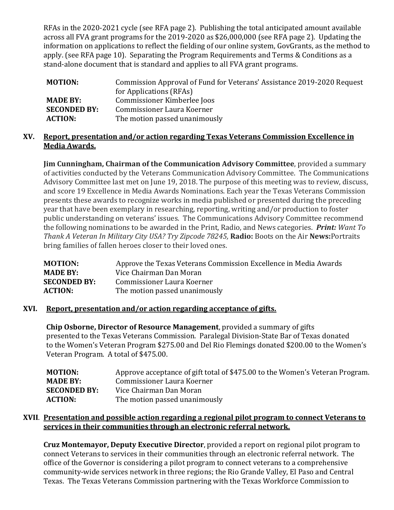RFAs in the 2020-2021 cycle (see RFA page 2). Publishing the total anticipated amount available across all FVA grant programs for the 2019-2020 as \$26,000,000 (see RFA page 2). Updating the information on applications to reflect the fielding of our online system, GovGrants, as the method to apply. (see RFA page 10). Separating the Program Requirements and Terms & Conditions as a stand-alone document that is standard and applies to all FVA grant programs.

| <b>MOTION:</b>      | Commission Approval of Fund for Veterans' Assistance 2019-2020 Request |
|---------------------|------------------------------------------------------------------------|
|                     | for Applications (RFAs)                                                |
| <b>MADE BY:</b>     | Commissioner Kimberlee Joos                                            |
| <b>SECONDED BY:</b> | Commissioner Laura Koerner                                             |
| <b>ACTION:</b>      | The motion passed unanimously                                          |

## **XV. Report, presentation and/or action regarding Texas Veterans Commission Excellence in Media Awards.**

**Jim Cunningham, Chairman of the Communication Advisory Committee**, provided a summary of activities conducted by the Veterans Communication Advisory Committee. The Communications Advisory Committee last met on June 19, 2018. The purpose of this meeting was to review, discuss, and score 19 Excellence in Media Awards Nominations. Each year the Texas Veterans Commission presents these awards to recognize works in media published or presented during the preceding year that have been exemplary in researching, reporting, writing and/or production to foster public understanding on veterans' issues. The Communications Advisory Committee recommend the following nominations to be awarded in the Print, Radio, and News categories. *Print: Want To Thank A Veteran In Military City USA? Try Zipcode 78245,* **Radio:** Boots on the Air **News:**Portraits bring families of fallen heroes closer to their loved ones.

| Approve the Texas Veterans Commission Excellence in Media Awards |
|------------------------------------------------------------------|
| Vice Chairman Dan Moran                                          |
| Commissioner Laura Koerner                                       |
| The motion passed unanimously                                    |
|                                                                  |

## **XVI. Report, presentation and/or action regarding acceptance of gifts.**

**Chip Osborne, Director of Resource Management**, provided a summary of gifts presented to the Texas Veterans Commission. Paralegal Division-State Bar of Texas donated to the Women's Veteran Program \$275.00 and Del Rio Flemings donated \$200.00 to the Women's Veteran Program. A total of \$475.00.

| MOTION:             | Approve acceptance of gift total of \$475.00 to the Women's Veteran Program. |
|---------------------|------------------------------------------------------------------------------|
| <b>MADE BY:</b>     | Commissioner Laura Koerner                                                   |
| <b>SECONDED BY:</b> | Vice Chairman Dan Moran                                                      |
| <b>ACTION:</b>      | The motion passed unanimously                                                |

# **XVII**. **Presentation and possible action regarding a regional pilot program to connect Veterans to services in their communities through an electronic referral network.**

**Cruz Montemayor, Deputy Executive Director**, provided a report on regional pilot program to connect Veterans to services in their communities through an electronic referral network. The office of the Governor is considering a pilot program to connect veterans to a comprehensive community-wide services network in three regions; the Rio Grande Valley, El Paso and Central Texas. The Texas Veterans Commission partnering with the Texas Workforce Commission to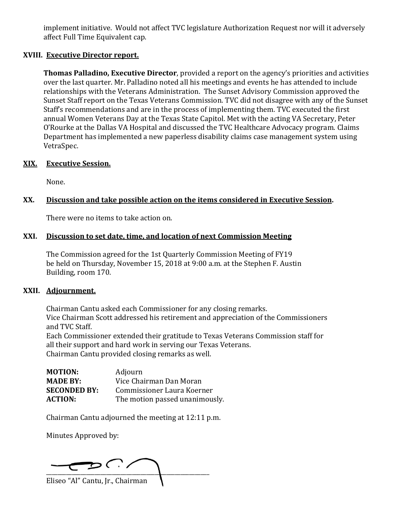implement initiative. Would not affect TVC legislature Authorization Request nor will it adversely affect Full Time Equivalent cap.

## **XVIII. Executive Director report.**

**Thomas Palladino, Executive Director**, provided a report on the agency's priorities and activities over the last quarter. Mr. Palladino noted all his meetings and events he has attended to include relationships with the Veterans Administration. The Sunset Advisory Commission approved the Sunset Staff report on the Texas Veterans Commission. TVC did not disagree with any of the Sunset Staff's recommendations and are in the process of implementing them. TVC executed the first annual Women Veterans Day at the Texas State Capitol. Met with the acting VA Secretary, Peter O'Rourke at the Dallas VA Hospital and discussed the TVC Healthcare Advocacy program. Claims Department has implemented a new paperless disability claims case management system using VetraSpec.

#### **XIX. Executive Session.**

None.

## **XX. Discussion and take possible action on the items considered in Executive Session.**

There were no items to take action on.

#### **XXI. Discussion to set date, time, and location of next Commission Meeting**

The Commission agreed for the 1st Quarterly Commission Meeting of FY19 be held on Thursday, November 15, 2018 at 9:00 a.m. at the Stephen F. Austin Building, room 170.

#### **XXII. Adjournment.**

Chairman Cantu asked each Commissioner for any closing remarks. Vice Chairman Scott addressed his retirement and appreciation of the Commissioners and TVC Staff. Each Commissioner extended their gratitude to Texas Veterans Commission staff for

all their support and hard work in serving our Texas Veterans. Chairman Cantu provided closing remarks as well.

| <b>MOTION:</b>      | Adjourn                        |
|---------------------|--------------------------------|
| <b>MADE BY:</b>     | Vice Chairman Dan Moran        |
| <b>SECONDED BY:</b> | Commissioner Laura Koerner     |
| <b>ACTION:</b>      | The motion passed unanimously. |

Chairman Cantu adjourned the meeting at 12:11 p.m.

Minutes Approved by:

 $\mathcal{D}$  (  $\cdot$  / \_\_\_\_\_\_\_\_\_\_\_\_\_\_\_\_\_\_\_\_\_\_\_\_\_\_\_\_\_\_\_\_\_\_\_\_\_\_\_\_\_\_\_\_\_\_\_\_\_\_\_\_\_\_\_\_\_ Eliseo "Al" Cantu, Jr., Chairman